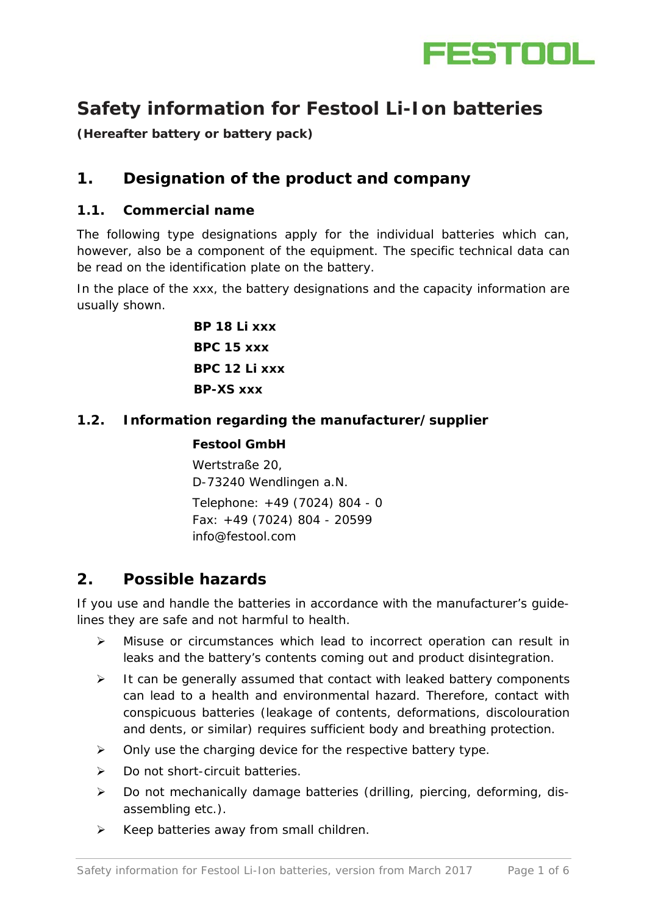

# **Safety information for Festool Li-Ion batteries**

**(Hereafter battery or battery pack)**

## **1. Designation of the product and company**

#### **1.1. Commercial name**

The following type designations apply for the individual batteries which can, however, also be a component of the equipment. The specific technical data can be read on the identification plate on the battery.

In the place of the xxx, the battery designations and the capacity information are usually shown.

> **BP 18 Li xxx BPC 15 xxx BPC 12 Li xxx BP-XS xxx**

#### **1.2. Information regarding the manufacturer/supplier**

#### **Festool GmbH**

Wertstraße 20, D-73240 Wendlingen a.N. Telephone: +49 (7024) 804 - 0 Fax: +49 (7024) 804 - 20599 [info@festool.com](mailto:info@festool.com)

### **2. Possible hazards**

If you use and handle the batteries in accordance with the manufacturer's guidelines they are safe and not harmful to health.

- Misuse or circumstances which lead to incorrect operation can result in leaks and the battery's contents coming out and product disintegration.
- $\triangleright$  It can be generally assumed that contact with leaked battery components can lead to a health and environmental hazard. Therefore, contact with conspicuous batteries (leakage of contents, deformations, discolouration and dents, or similar) requires sufficient body and breathing protection.
- $\triangleright$  Only use the charging device for the respective battery type.
- ▶ Do not short-circuit batteries.
- $\triangleright$  Do not mechanically damage batteries (drilling, piercing, deforming, disassembling etc.).
- $\triangleright$  Keep batteries away from small children.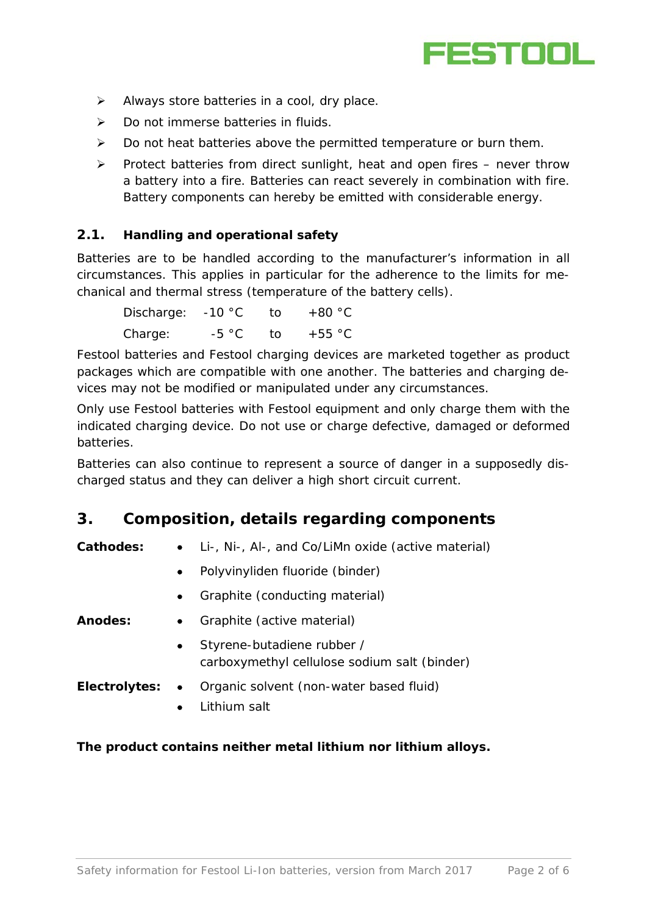

- $\triangleright$  Always store batteries in a cool, dry place.
- $\triangleright$  Do not immerse batteries in fluids.
- $\triangleright$  Do not heat batteries above the permitted temperature or burn them.
- $\triangleright$  Protect batteries from direct sunlight, heat and open fires never throw a battery into a fire. Batteries can react severely in combination with fire. Battery components can hereby be emitted with considerable energy.

#### **2.1. Handling and operational safety**

Batteries are to be handled according to the manufacturer's information in all circumstances. This applies in particular for the adherence to the limits for mechanical and thermal stress (temperature of the battery cells).

| Discharge: | $-10 °C$ | ⊤†ດ  | $+80 °C$       |
|------------|----------|------|----------------|
| Charge:    | $-5 °C$  | ി fo | $+55\degree$ C |

Festool batteries and Festool charging devices are marketed together as product packages which are compatible with one another. The batteries and charging devices may not be modified or manipulated under any circumstances.

Only use Festool batteries with Festool equipment and only charge them with the indicated charging device. Do not use or charge defective, damaged or deformed batteries.

Batteries can also continue to represent a source of danger in a supposedly discharged status and they can deliver a high short circuit current.

### **3. Composition, details regarding components**

**Cathodes:** • Li-, Ni-, Al-, and Co/LiMn oxide (active material)

- Polyvinyliden fluoride (binder)
- Graphite (conducting material)

**Anodes:** • Graphite (active material)

- Styrene-butadiene rubber / carboxymethyl cellulose sodium salt (binder)
- **Electrolytes:** Organic solvent (non-water based fluid)
	- Lithium salt

#### **The product contains neither metal lithium nor lithium alloys.**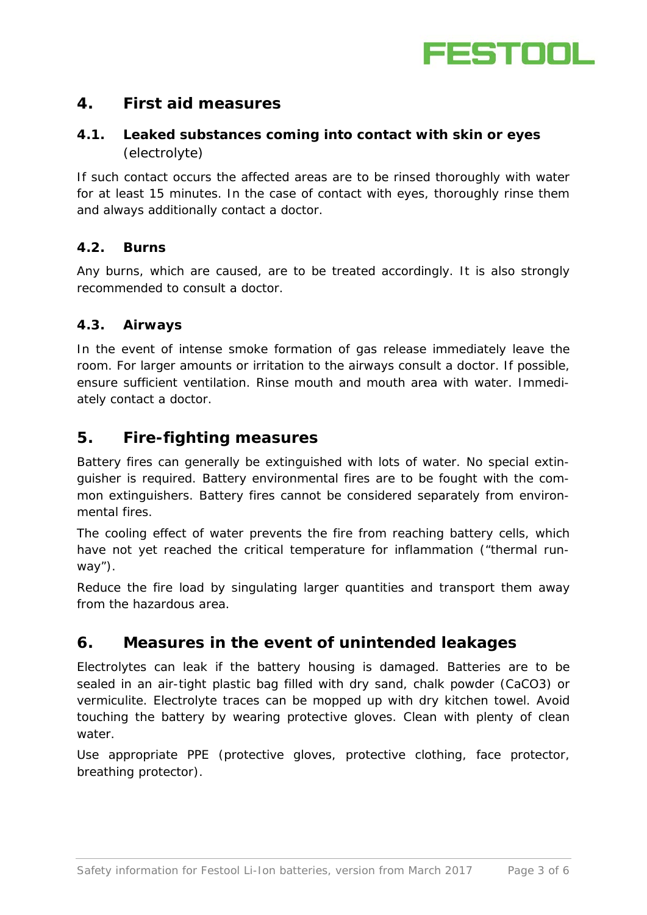

## **4. First aid measures**

### **4.1. Leaked substances coming into contact with skin or eyes**  (electrolyte)

If such contact occurs the affected areas are to be rinsed thoroughly with water for at least 15 minutes. In the case of contact with eyes, thoroughly rinse them and always additionally contact a doctor.

### **4.2. Burns**

Any burns, which are caused, are to be treated accordingly. It is also strongly recommended to consult a doctor.

#### **4.3. Airways**

In the event of intense smoke formation of gas release immediately leave the room. For larger amounts or irritation to the airways consult a doctor. If possible, ensure sufficient ventilation. Rinse mouth and mouth area with water. Immediately contact a doctor.

### **5. Fire-fighting measures**

Battery fires can generally be extinguished with lots of water. No special extinguisher is required. Battery environmental fires are to be fought with the common extinguishers. Battery fires cannot be considered separately from environmental fires.

The cooling effect of water prevents the fire from reaching battery cells, which have not yet reached the critical temperature for inflammation ("thermal runway").

Reduce the fire load by singulating larger quantities and transport them away from the hazardous area.

## **6. Measures in the event of unintended leakages**

Electrolytes can leak if the battery housing is damaged. Batteries are to be sealed in an air-tight plastic bag filled with dry sand, chalk powder (CaCO3) or vermiculite. Electrolyte traces can be mopped up with dry kitchen towel. Avoid touching the battery by wearing protective gloves. Clean with plenty of clean water.

Use appropriate PPE (protective gloves, protective clothing, face protector, breathing protector).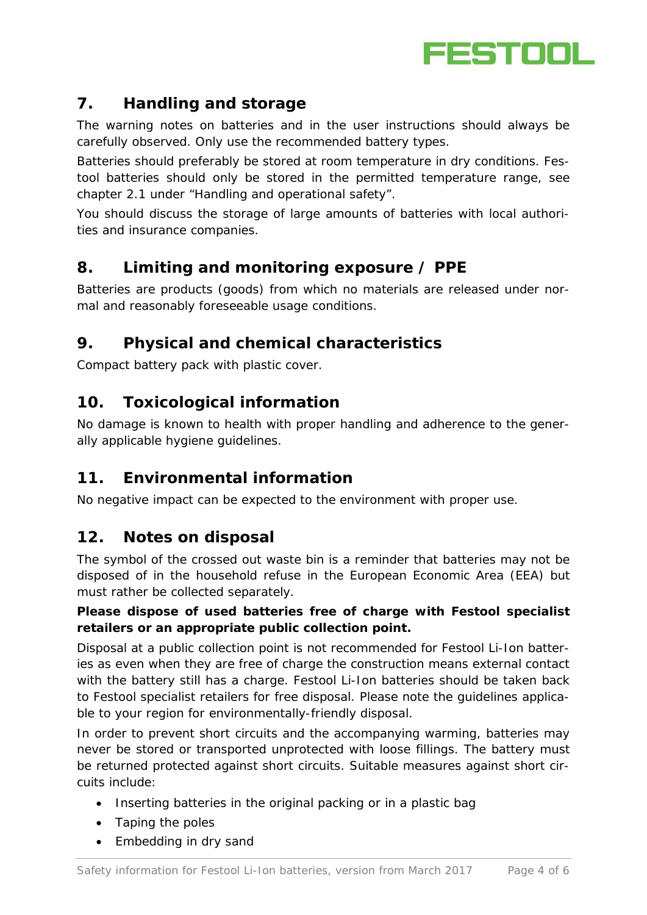

## **7. Handling and storage**

The warning notes on batteries and in the user instructions should always be carefully observed. Only use the recommended battery types.

Batteries should preferably be stored at room temperature in dry conditions. Festool batteries should only be stored in the permitted temperature range, see chapter 2.1 under "Handling and operational safety".

You should discuss the storage of large amounts of batteries with local authorities and insurance companies.

## **8. Limiting and monitoring exposure / PPE**

Batteries are products (goods) from which no materials are released under normal and reasonably foreseeable usage conditions.

## **9. Physical and chemical characteristics**

Compact battery pack with plastic cover.

## **10. Toxicological information**

No damage is known to health with proper handling and adherence to the generally applicable hygiene guidelines.

## **11. Environmental information**

No negative impact can be expected to the environment with proper use.

## **12. Notes on disposal**

The symbol of the crossed out waste bin is a reminder that batteries may not be disposed of in the household refuse in the European Economic Area (EEA) but must rather be collected separately.

### **Please dispose of used batteries free of charge with Festool specialist retailers or an appropriate public collection point.**

Disposal at a public collection point is not recommended for Festool Li-Ion batteries as even when they are free of charge the construction means external contact with the battery still has a charge. Festool Li-Ion batteries should be taken back to Festool specialist retailers for free disposal. Please note the guidelines applicable to your region for environmentally-friendly disposal.

In order to prevent short circuits and the accompanying warming, batteries may never be stored or transported unprotected with loose fillings. The battery must be returned protected against short circuits. Suitable measures against short circuits include:

- Inserting batteries in the original packing or in a plastic bag
- Taping the poles
- Embedding in dry sand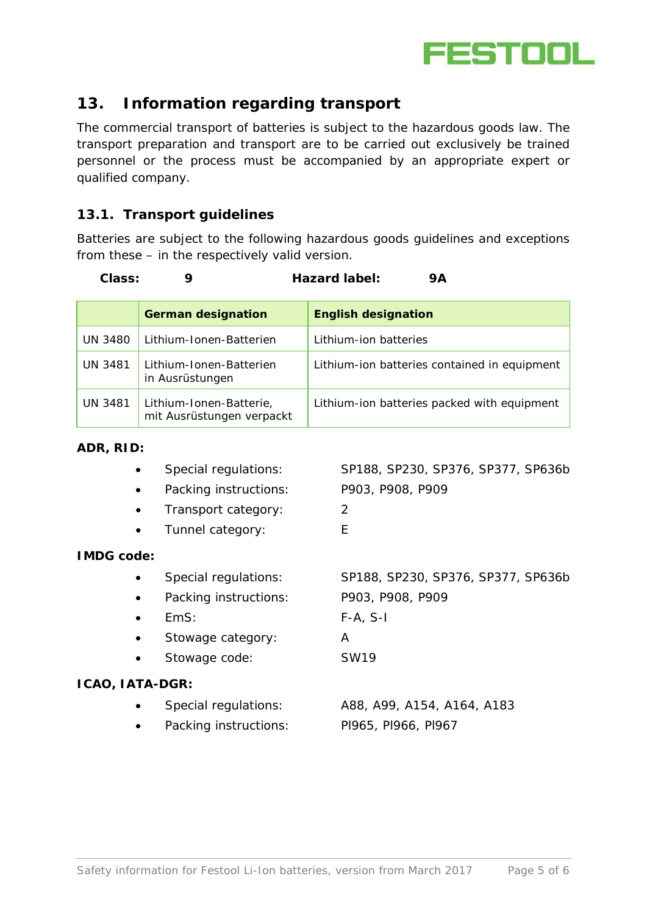

## **13. Information regarding transport**

The commercial transport of batteries is subject to the hazardous goods law. The transport preparation and transport are to be carried out exclusively be trained personnel or the process must be accompanied by an appropriate expert or qualified company.

### **13.1. Transport guidelines**

Batteries are subject to the following hazardous goods guidelines and exceptions from these – in the respectively valid version.

**Class: 9 Hazard label: 9A**

|                | <b>German designation</b>                            | <b>English designation</b>                   |
|----------------|------------------------------------------------------|----------------------------------------------|
| <b>UN 3480</b> | Lithium-Ionen-Batterien                              | Lithium-ion batteries                        |
| <b>UN 3481</b> | Lithium-Ionen-Batterien<br>in Ausrüstungen           | Lithium-ion batteries contained in equipment |
| <b>UN 3481</b> | Lithium-Ionen-Batterie,<br>mit Ausrüstungen verpackt | Lithium-ion batteries packed with equipment  |

#### **ADR, RID:**

| Special regulations:  | SP188, SP230, SP376, SP377, SP636b |
|-----------------------|------------------------------------|
| Packing instructions: | P903, P908, P909                   |
| Transport category:   | 2                                  |
| Tunnel category:      | E                                  |
| <b>IMDG code:</b>     |                                    |
| Special regulations:  | SP188, SP230, SP376, SP377, SP636b |
| Packing instructions: | P903, P908, P909                   |
| EmS:                  | $F-A, S-I$                         |
| Stowage category:     | A                                  |
| Stowage code:         | <b>SW19</b>                        |
| ICAO, IATA-DGR:       |                                    |
| Special regulations:  | A88, A99, A154, A164, A183         |
| Packing instructions: | PI965, PI966, PI967                |
|                       |                                    |